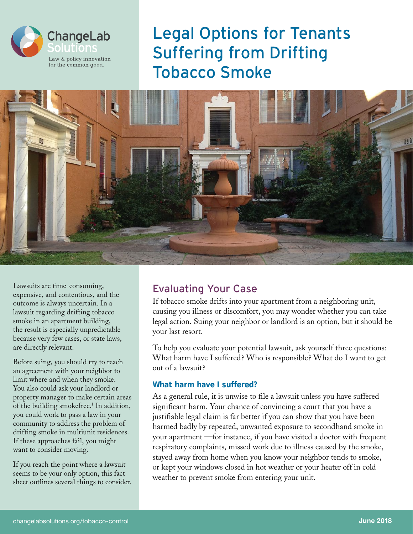

# Legal Options for Tenants Suffering from Drifting Tobacco Smoke



Lawsuits are time-consuming, expensive, and contentious, and the outcome is always uncertain. In a lawsuit regarding drifting tobacco smoke in an apartment building, the result is especially unpredictable because very few cases, or state laws, are directly relevant.

Before suing, you should try to reach an agreement with your neighbor to limit where and when they smoke. You also could ask your landlord or property manager to make certain areas of the building smokefree.<sup>1</sup> In addition, you could work to pass a law in your community to address the problem of drifting smoke in multiunit residences. If these approaches fail, you might want to consider moving.

If you reach the point where a lawsuit seems to be your only option, this fact sheet outlines several things to consider.

### Evaluating Your Case

If tobacco smoke drifts into your apartment from a neighboring unit, causing you illness or discomfort, you may wonder whether you can take legal action. Suing your neighbor or landlord is an option, but it should be your last resort.

To help you evaluate your potential lawsuit, ask yourself three questions: What harm have I suffered? Who is responsible? What do I want to get out of a lawsuit?

#### **What harm have I suffered?**

As a general rule, it is unwise to file a lawsuit unless you have suffered significant harm. Your chance of convincing a court that you have a justifiable legal claim is far better if you can show that you have been harmed badly by repeated, unwanted exposure to secondhand smoke in your apartment —for instance, if you have visited a doctor with frequent respiratory complaints, missed work due to illness caused by the smoke, stayed away from home when you know your neighbor tends to smoke, or kept your windows closed in hot weather or your heater off in cold weather to prevent smoke from entering your unit.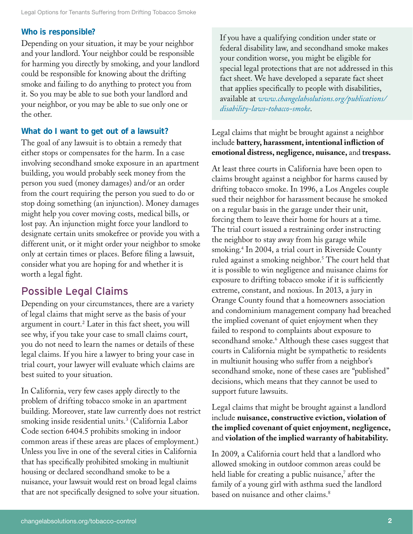#### **Who is responsible?**

Depending on your situation, it may be your neighbor and your landlord. Your neighbor could be responsible for harming you directly by smoking, and your landlord could be responsible for knowing about the drifting smoke and failing to do anything to protect you from it. So you may be able to sue both your landlord and your neighbor, or you may be able to sue only one or the other.

#### **What do I want to get out of a lawsuit?**

The goal of any lawsuit is to obtain a remedy that either stops or compensates for the harm. In a case involving secondhand smoke exposure in an apartment building, you would probably seek money from the person you sued (money damages) and/or an order from the court requiring the person you sued to do or stop doing something (an injunction). Money damages might help you cover moving costs, medical bills, or lost pay. An injunction might force your landlord to designate certain units smokefree or provide you with a different unit, or it might order your neighbor to smoke only at certain times or places. Before filing a lawsuit, consider what you are hoping for and whether it is worth a legal fight.

### Possible Legal Claims

Depending on your circumstances, there are a variety of legal claims that might serve as the basis of your argument in court.2 Later in this fact sheet, you will see why, if you take your case to small claims court, you do not need to learn the names or details of these legal claims. If you hire a lawyer to bring your case in trial court, your lawyer will evaluate which claims are best suited to your situation.

In California, very few cases apply directly to the problem of drifting tobacco smoke in an apartment building. Moreover, state law currently does not restrict smoking inside residential units.<sup>3</sup> (California Labor Code section 6404.5 prohibits smoking in indoor common areas if these areas are places of employment.) Unless you live in one of the several cities in California that has specifically prohibited smoking in multiunit housing or declared secondhand smoke to be a nuisance, your lawsuit would rest on broad legal claims that are not specifically designed to solve your situation.

If you have a qualifying condition under state or federal disability law, and secondhand smoke makes your condition worse, you might be eligible for special legal protections that are not addressed in this fact sheet. We have developed a separate fact sheet that applies specifically to people with disabilities, available at *[www.changelabsolutions.org/publications/](http://www.changelabsolutions.org/publications/disability-laws-tobacco-smoke) [disability-laws-tobacco-smoke](http://www.changelabsolutions.org/publications/disability-laws-tobacco-smoke)*.

#### Legal claims that might be brought against a neighbor include **battery, harassment, intentional infliction of emotional distress, negligence, nuisance,** and **trespass.**

At least three courts in California have been open to claims brought against a neighbor for harms caused by drifting tobacco smoke. In 1996, a Los Angeles couple sued their neighbor for harassment because he smoked on a regular basis in the garage under their unit, forcing them to leave their home for hours at a time. The trial court issued a restraining order instructing the neighbor to stay away from his garage while smoking.4 In 2004, a trial court in Riverside County ruled against a smoking neighbor.<sup>5</sup> The court held that it is possible to win negligence and nuisance claims for exposure to drifting tobacco smoke if it is sufficiently extreme, constant, and noxious. In 2013, a jury in Orange County found that a homeowners association and condominium management company had breached the implied covenant of quiet enjoyment when they failed to respond to complaints about exposure to secondhand smoke.<sup>6</sup> Although these cases suggest that courts in California might be sympathetic to residents in multiunit housing who suffer from a neighbor's secondhand smoke, none of these cases are "published" decisions, which means that they cannot be used to support future lawsuits.

#### Legal claims that might be brought against a landlord include **nuisance, constructive eviction, violation of the implied covenant of quiet enjoyment, negligence,**  and **violation of the implied warranty of habitability.**

In 2009, a California court held that a landlord who allowed smoking in outdoor common areas could be held liable for creating a public nuisance,<sup>7</sup> after the family of a young girl with asthma sued the landlord based on nuisance and other claims.<sup>8</sup>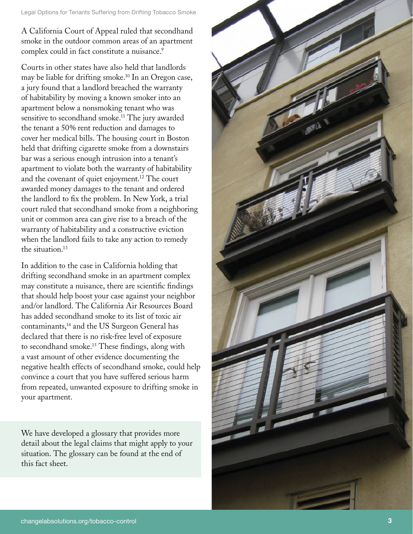Legal Options for Tenants Suffering from Drifting Tobacco Smoke

A California Court of Appeal ruled that secondhand smoke in the outdoor common areas of an apartment complex could in fact constitute a nuisance. 9

Courts in other states have also held that landlords may be liable for drifting smoke.10 In an Oregon case, a jury found that a landlord breached the warranty of habitability by moving a known smoker into an apartment below a nonsmoking tenant who was sensitive to secondhand smoke.<sup>11</sup> The jury awarded the tenant a 50% rent reduction and damages to cover her medical bills. The housing court in Boston held that drifting cigarette smoke from a downstairs bar was a serious enough intrusion into a tenant's apartment to violate both the warranty of habitability and the covenant of quiet enjoyment.12 The court awarded money damages to the tenant and ordered the landlord to fix the problem. In New York, a trial court ruled that secondhand smoke from a neighboring unit or common area can give rise to a breach of the warranty of habitability and a constructive eviction when the landlord fails to take any action to remedy the situation.13

In addition to the case in California holding that drifting secondhand smoke in an apartment complex may constitute a nuisance, there are scientific findings that should help boost your case against your neighbor and/or landlord. The California Air Resources Board has added secondhand smoke to its list of toxic air contaminants,14 and the US Surgeon General has declared that there is no risk-free level of exposure to secondhand smoke.15 These findings, along with a vast amount of other evidence documenting the negative health effects of secondhand smoke, could help convince a court that you have suffered serious harm from repeated, unwanted exposure to drifting smoke in your apartment.

We have developed a glossary that provides more detail about the legal claims that might apply to your situation. The glossary can be found at the end of this fact sheet.

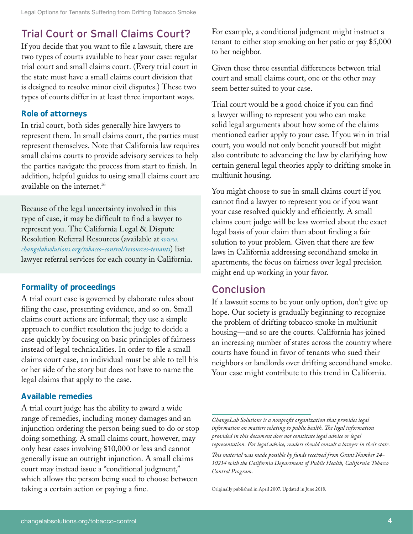# Trial Court or Small Claims Court?

If you decide that you want to file a lawsuit, there are two types of courts available to hear your case: regular trial court and small claims court. (Every trial court in the state must have a small claims court division that is designed to resolve minor civil disputes.) These two types of courts differ in at least three important ways.

#### **Role of attorneys**

In trial court, both sides generally hire lawyers to represent them. In small claims court, the parties must represent themselves. Note that California law requires small claims courts to provide advisory services to help the parties navigate the process from start to finish. In addition, helpful guides to using small claims court are available on the internet.16

Because of the legal uncertainty involved in this type of case, it may be difficult to find a lawyer to represent you. The California Legal & Dispute Resolution Referral Resources (available at *[www.](http://www.changelabsolutions.org/tobacco-control/resources-tenants) [changelabsolutions.org/tobacco-control/resources-tenant](http://www.changelabsolutions.org/tobacco-control/resources-tenants)s*) list lawyer referral services for each county in California.

#### **Formality of proceedings**

A trial court case is governed by elaborate rules about filing the case, presenting evidence, and so on. Small claims court actions are informal; they use a simple approach to conflict resolution the judge to decide a case quickly by focusing on basic principles of fairness instead of legal technicalities. In order to file a small claims court case, an individual must be able to tell his or her side of the story but does not have to name the legal claims that apply to the case.

#### **Available remedies**

A trial court judge has the ability to award a wide range of remedies, including money damages and an injunction ordering the person being sued to do or stop doing something. A small claims court, however, may only hear cases involving \$10,000 or less and cannot generally issue an outright injunction. A small claims court may instead issue a "conditional judgment," which allows the person being sued to choose between taking a certain action or paying a fine.

For example, a conditional judgment might instruct a tenant to either stop smoking on her patio or pay \$5,000 to her neighbor.

Given these three essential differences between trial court and small claims court, one or the other may seem better suited to your case.

Trial court would be a good choice if you can find a lawyer willing to represent you who can make solid legal arguments about how some of the claims mentioned earlier apply to your case. If you win in trial court, you would not only benefit yourself but might also contribute to advancing the law by clarifying how certain general legal theories apply to drifting smoke in multiunit housing.

You might choose to sue in small claims court if you cannot find a lawyer to represent you or if you want your case resolved quickly and efficiently. A small claims court judge will be less worried about the exact legal basis of your claim than about finding a fair solution to your problem. Given that there are few laws in California addressing secondhand smoke in apartments, the focus on fairness over legal precision might end up working in your favor.

### **Conclusion**

If a lawsuit seems to be your only option, don't give up hope. Our society is gradually beginning to recognize the problem of drifting tobacco smoke in multiunit housing—and so are the courts. California has joined an increasing number of states across the country where courts have found in favor of tenants who sued their neighbors or landlords over drifting secondhand smoke. Your case might contribute to this trend in California.

Originally published in April 2007. Updated in June 2018.

*ChangeLab Solutions is a nonprofit organization that provides legal information on matters relating to public health. The legal information provided in this document does not constitute legal advice or legal representation. For legal advice, readers should consult a lawyer in their state.*

*This material was made possible by funds received from Grant Number 14- 10214 with the California Department of Public Health, California Tobacco Control Program.*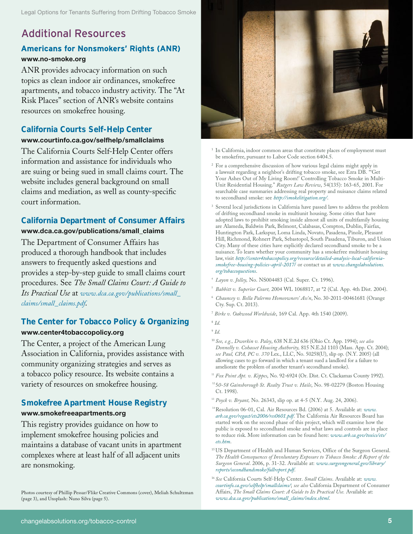## Additional Resources

#### **Americans for Nonsmokers' Rights (ANR) [www.no-smoke.org](http://www.no-smoke.org
)**

ANR provides advocacy information on such topics as clean indoor air ordinances, smokefree apartments, and tobacco industry activity. The "At Risk Places" section of ANR's website contains resources on smokefree housing.

### **California Courts Self-Help Center**

#### **[www.courtinfo.ca.gov/selfhelp/smallclaims](http://www.courtinfo.ca.gov/selfhelp/smallclaims
)**

The California Courts Self-Help Center offers information and assistance for individuals who are suing or being sued in small claims court. The website includes general background on small claims and mediation, as well as county-specific court information.

#### **California Department of Consumer Affairs**

#### **[www.dca.ca.gov/publications/small\\_claims](http://www.dca.ca.gov/publications/small_claims
)**

The Department of Consumer Affairs has produced a thorough handbook that includes answers to frequently asked questions and provides a step-by-step guide to small claims court procedures. See *The Small Claims Court: A Guide to Its Practical Use* at *[www.dca.ca.gov/publications/small\\_](http://www.dca.ca.gov/publications/small_claims/small_claims.pdf) [claims/small\\_claims.pdf](http://www.dca.ca.gov/publications/small_claims/small_claims.pdf)*.

#### **The Center for Tobacco Policy & Organizing [www.center4tobaccopolicy.org](http://www.center4tobaccopolicy.org
)**

The Center, a project of the American Lung Association in California, provides assistance with community organizing strategies and serves as a tobacco policy resource. Its website contains a variety of resources on smokefree housing.

#### **Smokefree Apartment House Registry [www.smokefreeapartments.org](http://www.smokefreeapartments.org
)**

This registry provides guidance on how to implement smokefree housing policies and maintains a database of vacant units in apartment complexes where at least half of all adjacent units are nonsmoking.

Photos courtesy of Phillip Pessar/Flikr Creative Commons (cover), Meliah Schultzman (page 3), and Unsplash: Nuno Silva (page 5).



- $^{\rm 1}$  In California, indoor common areas that constitute places of employment must be smokefree, pursuant to Labor Code section 6404.5.
- <sup>2</sup> For a comprehensive discussion of how various legal claims might apply in a lawsuit regarding a neighbor's drifting tobacco smoke, see Ezra DB. "'Get Your Ashes Out of My Living Room!' Controlling Tobacco Smoke in Multi-Unit Residential Housing." *Rutgers Law Review*, 54(135): 163-65, 2001. For searchable case summaries addressing real property and nuisance claims related to secondhand smoke: see *<http://smokelitigation.org/>*.
- 3 Several local jurisdictions in California have passed laws to address the problem of drifting secondhand smoke in multiunit housing. Some cities that have adopted laws to prohibit smoking inside almost all units of multifamily housing are Alameda, Baldwin Park, Belmont, Calabasas, Compton, Dublin, Fairfax, Huntington Park, Larkspur, Loma Linda, Novato, Pasadena, Pinole, Pleasant Hill, Richmond, Rohnert Park, Sebastopol, South Pasadena, Tiburon, and Union City. Many of these cities have explicitly declared secondhand smoke to be a nuisance. To learn whether your community has a smokefree multiunit housing law, visit *[http://center4tobaccopolicy.org/resource/detailed-analysis-local-california](http://center4tobaccopolicy.org/resource/detailed-analysis-local-california-smokefree-housing-policies-april-2017/)[smokefree-housing-policies-april-2017](http://center4tobaccopolicy.org/resource/detailed-analysis-local-california-smokefree-housing-policies-april-2017/)*/ or contact us at *[www.changelabsolutions.](http://www.changelabsolutions.org/tobaccoquestions) [org/tobaccoquestions](http://www.changelabsolutions.org/tobaccoquestions)*.
- <sup>4</sup> *Layon v. Jolley,* No. NS004483 (Cal. Super. Ct. 1996).
- <sup>5</sup> *Babbitt v. Superior Court,* 2004 WL 1068817, at \*2 (Cal. App. 4th Dist. 2004).
- <sup>6</sup> *Chauncey v. Bella Palermo Homeowners' Ass'n*, No. 30-2011-00461681 (Orange Cty. Sup. Ct. 2013).
- <sup>7</sup> *Birke v. Oakwood Worldwide*, 169 Cal. App. 4th 1540 (2009).
- <sup>8</sup> *Id*.
- <sup>9</sup> *Id*.
- <sup>10</sup> *See, e.g., Dworkin v. Paley*, 638 N.E.2d 636 (Ohio Ct. App. 1994); *see also Donnelly v. Cohasset Housing Authority,* 815 N.E.2d 1103 (Mass. App. Ct. 2004); *see Paul, CPA, PC v. 370* Lex., LLC, No. 50258(U), slip op. (N.Y. 2005) (all allowing cases to go forward in which a tenant sued a landlord for a failure to ameliorate the problem of another tenant's secondhand smoke).
- <sup>11</sup> Fox Point Apt. v. Kippes, No. 92-6924 (Or. Dist. Ct. Clackamas County 1992).
- <sup>12</sup> 50-58 Gainsborough St. Realty Trust v. Haile, No. 98-02279 (Boston Housing Ct. 1998).
- <sup>13</sup> *Poyck v. Bryant,* No. 26343, slip op. at 4-5 (N.Y. Aug. 24, 2006).
- 14Resolution 06-01, Cal. Air Resources Bd. (2006) at 5. Available at: *[www.](http://www.arb.ca.gov/regact/ets2006/res0601.pdf) [arb.ca.gov/regact/ets2006/res0601.pdf](http://www.arb.ca.gov/regact/ets2006/res0601.pdf)*. The California Air Resources Board has started work on the second phase of this project, which will examine how the public is exposed to secondhand smoke and what laws and controls are in place to reduce risk. More information can be found here: *[www.arb.ca.gov/toxics/ets/](http://www.arb.ca.gov/toxics/ets/ets.htm) [ets.htm](http://www.arb.ca.gov/toxics/ets/ets.htm)*.
- <sup>15</sup> US Department of Health and Human Services, Office of the Surgeon General. *The Health Consequences of Involuntary Exposure to Tobacco Smoke: A Report of the Surgeon General*. 2006, p. 31-32. Available at: *[www.surgeongeneral.gov/library/](http://www.surgeongeneral.gov/library/reports/secondhandsmoke/fullreport.pdf) [reports/secondhandsmoke/fullreport.pdf](http://www.surgeongeneral.gov/library/reports/secondhandsmoke/fullreport.pdf)*.
- <sup>16</sup> *See* California Courts Self-Help Center. *Small Claims*. Available at: *[www.](http://www.courtinfo.ca.gov/selfhelp/smallclaims/) [courtinfo.ca.gov/selfhelp/smallclaims/](http://www.courtinfo.ca.gov/selfhelp/smallclaims/)*; *see also* California Department of Consumer Affairs, *The Small Claims Court: A Guide to Its Practical Use.* Available at: *[www.dca.ca.gov/publications/small\\_claims/index.shtml](http://www.dca.ca.gov/publications/small_claims/index.shtml)*.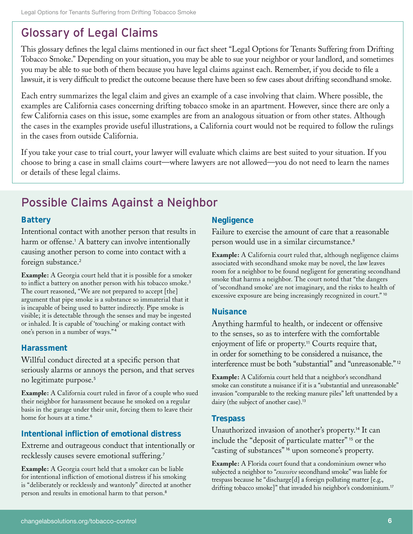# Glossary of Legal Claims

This glossary defines the legal claims mentioned in our fact sheet "Legal Options for Tenants Suffering from Drifting Tobacco Smoke." Depending on your situation, you may be able to sue your neighbor or your landlord, and sometimes you may be able to sue both of them because you have legal claims against each. Remember, if you decide to file a lawsuit, it is very difficult to predict the outcome because there have been so few cases about drifting secondhand smoke.

Each entry summarizes the legal claim and gives an example of a case involving that claim. Where possible, the examples are California cases concerning drifting tobacco smoke in an apartment. However, since there are only a few California cases on this issue, some examples are from an analogous situation or from other states. Although the cases in the examples provide useful illustrations, a California court would not be required to follow the rulings in the cases from outside California.

If you take your case to trial court, your lawyer will evaluate which claims are best suited to your situation. If you choose to bring a case in small claims court—where lawyers are not allowed—you do not need to learn the names or details of these legal claims.

# Possible Claims Against a Neighbor

#### **Battery**

Intentional contact with another person that results in harm or offense.<sup>1</sup> A battery can involve intentionally causing another person to come into contact with a foreign substance.<sup>2</sup>

**Example:** A Georgia court held that it is possible for a smoker to inflict a battery on another person with his tobacco smoke.<sup>3</sup> The court reasoned, "We are not prepared to accept [the] argument that pipe smoke is a substance so immaterial that it is incapable of being used to batter indirectly. Pipe smoke is visible; it is detectable through the senses and may be ingested or inhaled. It is capable of 'touching' or making contact with one's person in a number of ways." <sup>4</sup>

#### **Harassment**

Willful conduct directed at a specific person that seriously alarms or annoys the person, and that serves no legitimate purpose.<sup>5</sup>

**Example:** A California court ruled in favor of a couple who sued their neighbor for harassment because he smoked on a regular basis in the garage under their unit, forcing them to leave their home for hours at a time.<sup>6</sup>

#### **Intentional infliction of emotional distress**

Extreme and outrageous conduct that intentionally or recklessly causes severe emotional suffering.<sup>7</sup>

**Example:** A Georgia court held that a smoker can be liable for intentional infliction of emotional distress if his smoking is "deliberately or recklessly and wantonly" directed at another person and results in emotional harm to that person.<sup>8</sup>

#### **Negligence**

Failure to exercise the amount of care that a reasonable person would use in a similar circumstance.<sup>9</sup>

**Example:** A California court ruled that, although negligence claims associated with secondhand smoke may be novel, the law leaves room for a neighbor to be found negligent for generating secondhand smoke that harms a neighbor. The court noted that "the dangers of 'secondhand smoke' are not imaginary, and the risks to health of excessive exposure are being increasingly recognized in court."<sup>10</sup>

#### **Nuisance**

Anything harmful to health, or indecent or offensive to the senses, so as to interfere with the comfortable enjoyment of life or property.<sup>11</sup> Courts require that, in order for something to be considered a nuisance, the interference must be both "substantial" and "unreasonable." <sup>12</sup>

**Example:** A California court held that a neighbor's secondhand smoke can constitute a nuisance if it is a "substantial and unreasonable" invasion "comparable to the reeking manure piles" left unattended by a dairy (the subject of another case).<sup>13</sup>

#### **Trespass**

Unauthorized invasion of another's property.14 It can include the "deposit of particulate matter" <sup>15</sup> or the "casting of substances" <sup>16</sup> upon someone's property.

**Example:** A Florida court found that a condominium owner who subjected a neighbor to "*excessive* secondhand smoke" was liable for trespass because he "discharge[d] a foreign polluting matter [e.g., drifting tobacco smoke]" that invaded his neighbor's condominium.<sup>17</sup>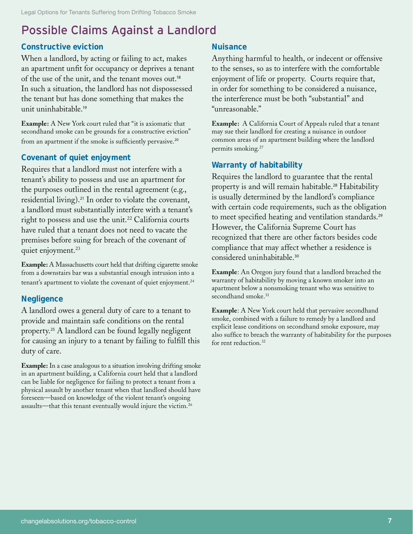# Possible Claims Against a Landlord

#### **Constructive eviction**

When a landlord, by acting or failing to act, makes an apartment unfit for occupancy or deprives a tenant of the use of the unit, and the tenant moves out.<sup>18</sup> In such a situation, the landlord has not dispossessed the tenant but has done something that makes the unit uninhabitable.<sup>19</sup>

**Example:** A New York court ruled that "it is axiomatic that secondhand smoke can be grounds for a constructive eviction" from an apartment if the smoke is sufficiently pervasive.<sup>20</sup>

#### **Covenant of quiet enjoyment**

Requires that a landlord must not interfere with a tenant's ability to possess and use an apartment for the purposes outlined in the rental agreement (e.g., residential living).21 In order to violate the covenant, a landlord must substantially interfere with a tenant's right to possess and use the unit.<sup>22</sup> California courts have ruled that a tenant does not need to vacate the premises before suing for breach of the covenant of quiet enjoyment.<sup>23</sup>

**Example:** A Massachusetts court held that drifting cigarette smoke from a downstairs bar was a substantial enough intrusion into a tenant's apartment to violate the covenant of quiet enjoyment.<sup>24</sup>

#### **Negligence**

A landlord owes a general duty of care to a tenant to provide and maintain safe conditions on the rental property.25 A landlord can be found legally negligent for causing an injury to a tenant by failing to fulfill this duty of care.

**Example:** In a case analogous to a situation involving drifting smoke in an apartment building, a California court held that a landlord can be liable for negligence for failing to protect a tenant from a physical assault by another tenant when that landlord should have foreseen—based on knowledge of the violent tenant's ongoing assaults—that this tenant eventually would injure the victim.26

#### **Nuisance**

Anything harmful to health, or indecent or offensive to the senses, so as to interfere with the comfortable enjoyment of life or property. Courts require that, in order for something to be considered a nuisance, the interference must be both "substantial" and "unreasonable."

**Example:** A California Court of Appeals ruled that a tenant may sue their landlord for creating a nuisance in outdoor common areas of an apartment building where the landlord permits smoking.<sup>27</sup>

#### **Warranty of habitability**

Requires the landlord to guarantee that the rental property is and will remain habitable.<sup>28</sup> Habitability is usually determined by the landlord's compliance with certain code requirements, such as the obligation to meet specified heating and ventilation standards.<sup>29</sup> However, the California Supreme Court has recognized that there are other factors besides code compliance that may affect whether a residence is considered uninhabitable.<sup>30</sup>

**Example**: An Oregon jury found that a landlord breached the warranty of habitability by moving a known smoker into an apartment below a nonsmoking tenant who was sensitive to secondhand smoke.<sup>31</sup>

**Example**: A New York court held that pervasive secondhand smoke, combined with a failure to remedy by a landlord and explicit lease conditions on secondhand smoke exposure, may also suffice to breach the warranty of habitability for the purposes for rent reduction.32